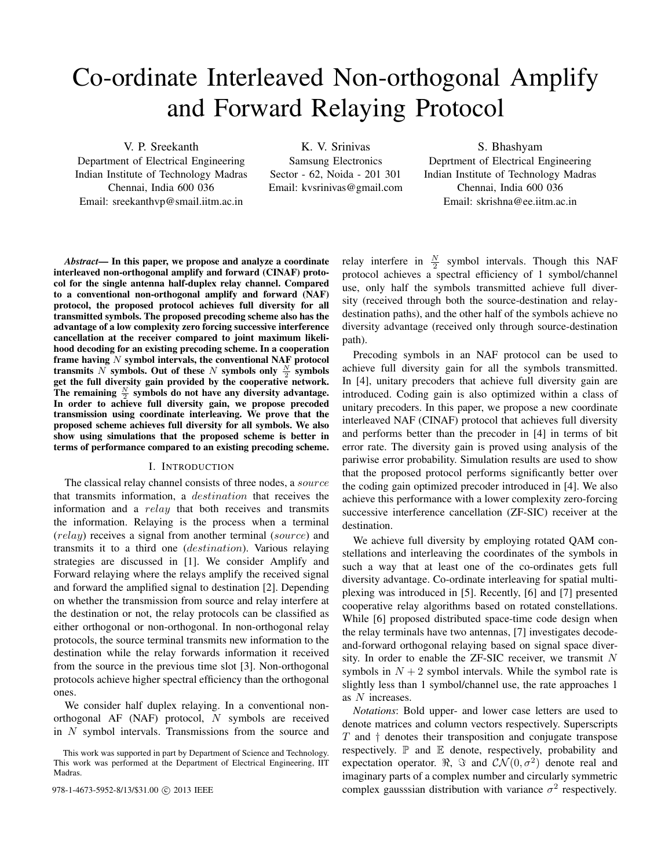# Co-ordinate Interleaved Non-orthogonal Amplify and Forward Relaying Protocol

V. P. Sreekanth

Department of Electrical Engineering Indian Institute of Technology Madras Chennai, India 600 036 Email: sreekanthvp@smail.iitm.ac.in

K. V. Srinivas Samsung Electronics Sector - 62, Noida - 201 301 Email: kvsrinivas@gmail.com

S. Bhashyam Deprtment of Electrical Engineering Indian Institute of Technology Madras Chennai, India 600 036 Email: skrishna@ee.iitm.ac.in

*Abstract*— In this paper, we propose and analyze a coordinate interleaved non-orthogonal amplify and forward (CINAF) protocol for the single antenna half-duplex relay channel. Compared to a conventional non-orthogonal amplify and forward (NAF) protocol, the proposed protocol achieves full diversity for all transmitted symbols. The proposed precoding scheme also has the advantage of a low complexity zero forcing successive interference cancellation at the receiver compared to joint maximum likelihood decoding for an existing precoding scheme. In a cooperation frame having  $N$  symbol intervals, the conventional NAF protocol transmits N symbols. Out of these N symbols only  $\frac{N}{2}$  symbols get the full diversity gain provided by the cooperative network. The remaining  $\frac{N}{2}$  symbols do not have any diversity advantage. In order to achieve full diversity gain, we propose precoded transmission using coordinate interleaving. We prove that the proposed scheme achieves full diversity for all symbols. We also show using simulations that the proposed scheme is better in terms of performance compared to an existing precoding scheme.

## I. INTRODUCTION

The classical relay channel consists of three nodes, a source that transmits information, a destination that receives the information and a *relay* that both receives and transmits the information. Relaying is the process when a terminal (relay) receives a signal from another terminal (source) and transmits it to a third one (destination). Various relaying strategies are discussed in [1]. We consider Amplify and Forward relaying where the relays amplify the received signal and forward the amplified signal to destination [2]. Depending on whether the transmission from source and relay interfere at the destination or not, the relay protocols can be classified as either orthogonal or non-orthogonal. In non-orthogonal relay protocols, the source terminal transmits new information to the destination while the relay forwards information it received from the source in the previous time slot [3]. Non-orthogonal protocols achieve higher spectral efficiency than the orthogonal ones.

We consider half duplex relaying. In a conventional nonorthogonal AF (NAF) protocol, N symbols are received in N symbol intervals. Transmissions from the source and

relay interfere in  $\frac{N}{2}$  symbol intervals. Though this NAF protocol achieves a spectral efficiency of 1 symbol/channel use, only half the symbols transmitted achieve full diversity (received through both the source-destination and relaydestination paths), and the other half of the symbols achieve no diversity advantage (received only through source-destination path).

Precoding symbols in an NAF protocol can be used to achieve full diversity gain for all the symbols transmitted. In [4], unitary precoders that achieve full diversity gain are introduced. Coding gain is also optimized within a class of unitary precoders. In this paper, we propose a new coordinate interleaved NAF (CINAF) protocol that achieves full diversity and performs better than the precoder in [4] in terms of bit error rate. The diversity gain is proved using analysis of the pariwise error probability. Simulation results are used to show that the proposed protocol performs significantly better over the coding gain optimized precoder introduced in [4]. We also achieve this performance with a lower complexity zero-forcing successive interference cancellation (ZF-SIC) receiver at the destination.

We achieve full diversity by employing rotated QAM constellations and interleaving the coordinates of the symbols in such a way that at least one of the co-ordinates gets full diversity advantage. Co-ordinate interleaving for spatial multiplexing was introduced in [5]. Recently, [6] and [7] presented cooperative relay algorithms based on rotated constellations. While [6] proposed distributed space-time code design when the relay terminals have two antennas, [7] investigates decodeand-forward orthogonal relaying based on signal space diversity. In order to enable the ZF-SIC receiver, we transmit  $N$ symbols in  $N + 2$  symbol intervals. While the symbol rate is slightly less than 1 symbol/channel use, the rate approaches 1 as N increases.

*Notations*: Bold upper- and lower case letters are used to denote matrices and column vectors respectively. Superscripts  $T$  and  $\dagger$  denotes their transposition and conjugate transpose respectively.  $\mathbb P$  and  $\mathbb E$  denote, respectively, probability and expectation operator.  $\Re$ ,  $\Im$  and  $\mathcal{CN}(0, \sigma^2)$  denote real and imaginary parts of a complex number and circularly symmetric 978-1-4673-5952-8/13/\$31.00  $\odot$  2013 IEEE complex gausssian distribution with variance  $\sigma^2$  respectively.

This work was supported in part by Department of Science and Technology. This work was performed at the Department of Electrical Engineering, IIT Madras.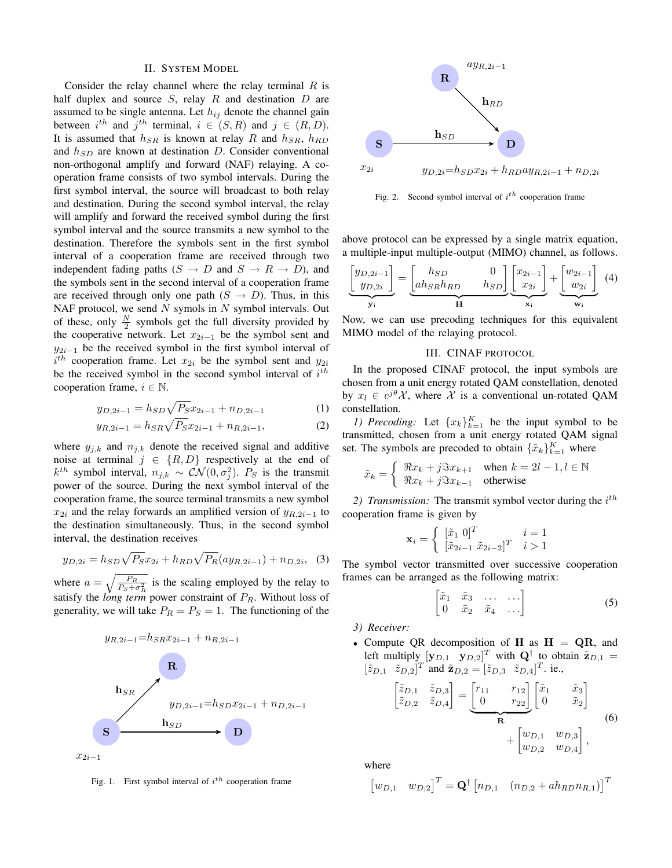#### II. SYSTEM MODEL

Consider the relay channel where the relay terminal  $R$  is half duplex and source  $S$ , relay  $R$  and destination  $D$  are assumed to be single antenna. Let  $h_{ij}$  denote the channel gain between  $i^{th}$  and  $j^{th}$  terminal,  $i \in (S, R)$  and  $j \in (R, D)$ . It is assumed that  $h_{SR}$  is known at relay R and  $h_{SR}$ ,  $h_{RD}$ and  $h_{SD}$  are known at destination D. Consider conventional non-orthogonal amplify and forward (NAF) relaying. A cooperation frame consists of two symbol intervals. During the first symbol interval, the source will broadcast to both relay and destination. During the second symbol interval, the relay will amplify and forward the received symbol during the first symbol interval and the source transmits a new symbol to the destination. Therefore the symbols sent in the first symbol interval of a cooperation frame are received through two independent fading paths  $(S \to D \text{ and } S \to R \to D)$ , and the symbols sent in the second interval of a cooperation frame are received through only one path  $(S \rightarrow D)$ . Thus, in this NAF protocol, we send  $N$  symols in  $N$  symbol intervals. Out of these, only  $\frac{N}{2}$  symbols get the full diversity provided by the cooperative network. Let  $x_{2i-1}$  be the symbol sent and  $y_{2i-1}$  be the received symbol in the first symbol interval of  $i^{th}$  cooperation frame. Let  $x_{2i}$  be the symbol sent and  $y_{2i}$ be the received symbol in the second symbol interval of  $i^{th}$ cooperation frame,  $i \in \mathbb{N}$ .

$$
y_{D,2i-1} = h_{SD} \sqrt{P_S} x_{2i-1} + n_{D,2i-1} \tag{1}
$$

$$
y_{R,2i-1} = h_{SR}\sqrt{P_S}x_{2i-1} + n_{R,2i-1},\tag{2}
$$

where  $y_{j,k}$  and  $n_{j,k}$  denote the received signal and additive noise at terminal  $j \in \{R, D\}$  respectively at the end of  $k^{th}$  symbol interval,  $n_{j,k} \sim \mathcal{CN}(0, \sigma_j^2)$ .  $P_S$  is the transmit power of the source. During the next symbol interval of the cooperation frame, the source terminal transmits a new symbol  $x_{2i}$  and the relay forwards an amplified version of  $y_{R,2i-1}$  to the destination simultaneously. Thus, in the second symbol interval, the destination receives

$$
y_{D,2i} = h_{SD}\sqrt{P_S}x_{2i} + h_{RD}\sqrt{P_R}(ay_{R,2i-1}) + n_{D,2i}, \quad (3)
$$

where  $a = \sqrt{\frac{P_R}{P_S + \sigma_R^2}}$  is the scaling employed by the relay to satisfy the *long term* power constraint of  $P_R$ . Without loss of generality, we will take  $P_R = P_S = 1$ . The functioning of the



Fig. 1. First symbol interval of  $i^{th}$  cooperation frame



Fig. 2. Second symbol interval of  $i^{th}$  cooperation frame

above protocol can be expressed by a single matrix equation, a multiple-input multiple-output (MIMO) channel, as follows.

$$
\underbrace{\begin{bmatrix} y_{D,2i-1} \\ y_{D,2i} \end{bmatrix}}_{\mathbf{y_i}} = \underbrace{\begin{bmatrix} h_{SD} & 0 \\ ah_{SR}h_{RD} & h_{SD} \end{bmatrix}}_{\mathbf{H}} \underbrace{\begin{bmatrix} x_{2i-1} \\ x_{2i} \end{bmatrix}}_{\mathbf{x_i}} + \underbrace{\begin{bmatrix} w_{2i-1} \\ w_{2i} \end{bmatrix}}_{\mathbf{w_i}} \quad (4)
$$

Now, we can use precoding techniques for this equivalent MIMO model of the relaying protocol.

# III. CINAF PROTOCOL

In the proposed CINAF protocol, the input symbols are chosen from a unit energy rotated QAM constellation, denoted by  $x_l \in e^{j\theta} \mathcal{X}$ , where  $\mathcal X$  is a conventional un-rotated QAM constellation.

*1)* Precoding: Let  ${x_k}_{k=1}^K$  be the input symbol to be transmitted, chosen from a unit energy rotated QAM signal set. The symbols are precoded to obtain  $\{\tilde{x}_k\}_{k=1}^K$  where

$$
\tilde{x}_k = \begin{cases} \Re x_k + j \Im x_{k+1} & \text{when } k = 2l - 1, l \in \mathbb{N} \\ \Re x_k + j \Im x_{k-1} & \text{otherwise} \end{cases}
$$

2) *Transmission*: The transmit symbol vector during the  $i^{th}$ cooperation frame is given by

$$
\mathbf{x}_{i} = \begin{cases} [\tilde{x}_{1} \ 0]^T & i = 1\\ [\tilde{x}_{2i-1} \ \tilde{x}_{2i-2}]^T & i > 1 \end{cases}
$$

The symbol vector transmitted over successive cooperation frames can be arranged as the following matrix:

$$
\begin{bmatrix} \tilde{x}_1 & \tilde{x}_3 & \dots & \dots \\ 0 & \tilde{x}_2 & \tilde{x}_4 & \dots \end{bmatrix} \tag{5}
$$

*3) Receiver:*

• Compute QR decomposition of H as  $H = QR$ , and left multiply  $[\mathbf{y}_{D,1} \quad \mathbf{y}_{D,2}]^T$  with  $\mathbf{Q}^{\dagger}$  to obtain  $\tilde{\mathbf{z}}_{D,1} =$  $[\tilde{z}_{D,1} \quad \tilde{z}_{D,2}]^T$  and  $\tilde{\mathbf{z}}_{D,2} = [\tilde{z}_{D,3} \quad \tilde{z}_{D,4}]^T$ . ie.,  $\begin{bmatrix} \tilde{z}_{D,1} & \tilde{z}_{D,3} \end{bmatrix}$  $\tilde{z}_{D,2}$   $\tilde{z}_{D,4}$  $\begin{bmatrix} r_{11} & r_{12} \ 0 & r_{22} \end{bmatrix} \begin{bmatrix} \tilde{x}_1 & \tilde{x}_3 \ 0 & \tilde{x}_2 \end{bmatrix}$ 0  $\tilde{x}_2$ 1

$$
+\begin{bmatrix} 0 & w_{21} \\ w_{D,1} & w_{D,3} \\ w_{D,2} & w_{D,4} \end{bmatrix},
$$
 (6)

where

$$
\begin{bmatrix} w_{D,1} & w_{D,2} \end{bmatrix}^T = \mathbf{Q}^\dagger \begin{bmatrix} n_{D,1} & (n_{D,2} + a h_{RD} n_{R,1}) \end{bmatrix}^T
$$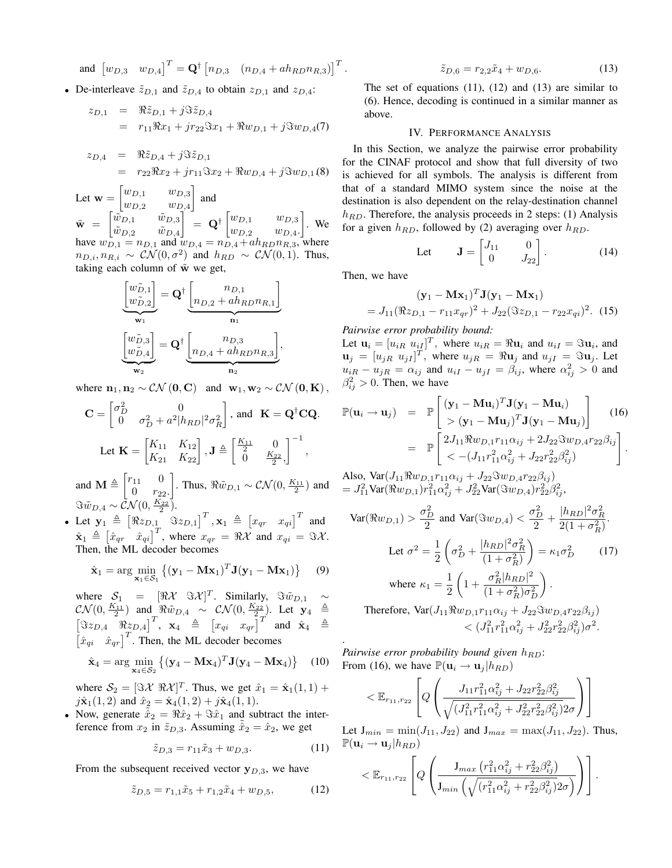and  $\begin{bmatrix} w_{D,3} & w_{D,4} \end{bmatrix}^T = \mathbf{Q}^{\dagger} \begin{bmatrix} n_{D,3} & (n_{D,4} + a h_{R D} n_{R,3}) \end{bmatrix}^T$ .

• De-interleave  $\tilde{z}_{D,1}$  and  $\tilde{z}_{D,4}$  to obtain  $z_{D,1}$  and  $z_{D,4}$ :

$$
z_{D,1} = \Re \tilde{z}_{D,1} + j \Im \tilde{z}_{D,4}
$$
  
=  $r_{11} \Re x_1 + j r_{22} \Im x_1 + \Re w_{D,1} + j \Im w_{D,4}(7)$ 

$$
z_{D,4} = \Re \tilde{z}_{D,4} + j \Im \tilde{z}_{D,1}
$$
  
=  $r_{22} \Re x_2 + j r_{11} \Im x_2 + \Re w_{D,4} + j \Im w_{D,1}(8)$ 

Let  $\mathbf{w} = \begin{bmatrix} w_{D,1} & w_{D,3} \\ w & w_{D,3} \end{bmatrix}$  $w_{D,2}$   $w_{D,4}$  $\Big]$  and  $\tilde{\textbf{w}} = \begin{bmatrix} \tilde{w}_{D,1} & \tilde{w}_{D,3} \\ \tilde{\pi} & \tilde{\pi} \end{bmatrix}$  $\tilde w_{D,2}$   $\tilde w_{D,4}$  $\begin{bmatrix} \begin{bmatrix} w_{D,1} & w_{D,3} \end{bmatrix} \end{bmatrix}$  $w_{D,2}$   $w_{D,4}$ .  $\big]$ . We have  $w_{D,1} = n_{D,1}$  and  $w_{D,4} = n_{D,4} + a h_{R D} n_{R,3}$ , where  $n_{D,i}, n_{R,i} \sim \mathcal{CN}(0, \sigma^2)$  and  $h_{RD} \sim \mathcal{CN}(0, 1)$ . Thus, taking each column of  $\tilde{w}$  we get,

$$
\underbrace{\begin{bmatrix} w_{D,1}^{\tilde{D}} \\ w_{D,2}^{\tilde{D}} \end{bmatrix}}_{\mathbf{w}_1} = \mathbf{Q}^\dagger \underbrace{\begin{bmatrix} n_{D,1} \\ n_{D,2} + a h_{R D} n_{R,1} \end{bmatrix}}_{\mathbf{n}_1}
$$
\n
$$
\underbrace{\begin{bmatrix} w_{D,3}^{\tilde{D}} \\ w_{D,4}^{\tilde{D}} \end{bmatrix}}_{\mathbf{w}_2} = \mathbf{Q}^\dagger \underbrace{\begin{bmatrix} n_{D,3} \\ n_{D,4} + a h_{R D} n_{R,3} \end{bmatrix}}_{\mathbf{n}_2},
$$

where  $\mathbf{n}_1, \mathbf{n}_2 \sim \mathcal{CN}(\mathbf{0}, \mathbf{C})$  and  $\mathbf{w}_1, \mathbf{w}_2 \sim \mathcal{CN}(\mathbf{0}, \mathbf{K})$ ,

$$
\mathbf{C} = \begin{bmatrix} \sigma_D^2 & 0\\ 0 & \sigma_D^2 + a^2 |h_{RD}|^2 \sigma_R^2 \end{bmatrix}, \text{ and } \mathbf{K} = \mathbf{Q}^\dagger \mathbf{C} \mathbf{Q}.
$$
\n
$$
\text{Let } \mathbf{K} = \begin{bmatrix} K_{11} & K_{12} \\ K_{21} & K_{22} \end{bmatrix}, \mathbf{J} \triangleq \begin{bmatrix} \frac{K_{11}}{2} & 0\\ 0 & \frac{K_{22}}{2}, \end{bmatrix}^{-1},
$$

and  $\mathbf{M} \triangleq \begin{bmatrix} r_{11} & 0 \\ 0 & r_{12} \end{bmatrix}$ 0  $r_{22}$ .  $\left. \right. \right\}$ . Thus,  $\Re \tilde{w}_{D,1} \sim \mathcal{CN}(0,\frac{K_{11}}{2})$  and  $\Im \tilde{w}_{D,4} \sim \tilde{\mathcal{CN}}(0,\frac{K_{22}}{2}).$ 

• Let  $\mathbf{y}_1 \triangleq \begin{bmatrix} \Re z_{D,1} & \Im z_{D,1} \end{bmatrix}^T$ ,  $\mathbf{x}_1 \triangleq \begin{bmatrix} x_{qr} & x_{qi} \end{bmatrix}^T$  and  $\hat{\mathbf{x}}_1 \triangleq \begin{bmatrix} \hat{x}_{qr} & \hat{x}_{qi} \end{bmatrix}^T$ , where  $x_{qr} = \Re \mathcal{X}$  and  $x_{qi} = \Im \mathcal{X}$ . Then, the ML decoder becomes

$$
\hat{\mathbf{x}}_1 = \arg\min_{\mathbf{x}_1 \in \mathcal{S}_1} \left\{ (\mathbf{y}_1 - \mathbf{M}\mathbf{x}_1)^T \mathbf{J} (\mathbf{y}_1 - \mathbf{M}\mathbf{x}_1) \right\} \tag{9}
$$

where  $S_1 = [\Re \mathcal{X} \ \Im \mathcal{X}]^T$ . Similarly,  $\Im \tilde{w}_{D,1} \sim$  $\mathcal{CN}(0, \frac{K_{11}}{2})$  and  $\mathbb{R} \tilde{w}_{D,4} \sim \mathcal{CN}(0, \frac{K_{22}}{2})$ . Let  $\mathbf{y}_4 \triangleq$  $\begin{bmatrix} \Im z_{D,4} & \Re z_{D,4} \end{bmatrix}^T$ ,  $\mathbf{x}_4 \triangleq \begin{bmatrix} x_{qi} & x_{qr} \end{bmatrix}^T$  and  $\hat{\mathbf{x}}_4 \triangleq$  $\begin{bmatrix} \hat{x}_{qi} & \hat{x}_{qr} \end{bmatrix}^T$ . Then, the ML decoder becomes

$$
\hat{\mathbf{x}}_4 = \arg\min_{\mathbf{x}_4 \in \mathcal{S}_2} \left\{ (\mathbf{y}_4 - \mathbf{M}\mathbf{x}_4)^T \mathbf{J} (\mathbf{y}_4 - \mathbf{M}\mathbf{x}_4) \right\} \tag{10}
$$

where  $S_2 = [\Im \mathcal{X} \ \Re \mathcal{X}]^T$ . Thus, we get  $\hat{x}_1 = \hat{x}_1(1,1)$  +  $j\hat{\mathbf{x}}_1(1,2)$  and  $\hat{x}_2 = \hat{\mathbf{x}}_4(1,2) + j\hat{\mathbf{x}}_4(1,1)$ .

• Now, generate  $\hat{x}_2 = \Re \hat{x}_2 + \Im \hat{x}_1$  and subtract the interference from  $x_2$  in  $\tilde{z}_{D,3}$ . Assuming  $\hat{x}_2 = \hat{x}_2$ , we get

$$
\tilde{z}_{D,3} = r_{11}\tilde{x}_3 + w_{D,3}.\tag{11}
$$

From the subsequent received vector  $y_{D,3}$ , we have

$$
\tilde{z}_{D,5} = r_{1,1}\tilde{x}_5 + r_{1,2}\tilde{x}_4 + w_{D,5},\tag{12}
$$

$$
\tilde{z}_{D,6} = r_{2,2}\tilde{x}_4 + w_{D,6}.\tag{13}
$$

The set of equations  $(11)$ ,  $(12)$  and  $(13)$  are similar to (6). Hence, decoding is continued in a similar manner as above.

# IV. PERFORMANCE ANALYSIS

In this Section, we analyze the pairwise error probability for the CINAF protocol and show that full diversity of two is achieved for all symbols. The analysis is different from that of a standard MIMO system since the noise at the destination is also dependent on the relay-destination channel  $h_{RD}$ . Therefore, the analysis proceeds in 2 steps: (1) Analysis for a given  $h_{RD}$ , followed by (2) averaging over  $h_{RD}$ .

Let 
$$
\mathbf{J} = \begin{bmatrix} J_{11} & 0 \\ 0 & J_{22} \end{bmatrix} . \tag{14}
$$

Then, we have

$$
(\mathbf{y}_1 - \mathbf{M}\mathbf{x}_1)^T \mathbf{J}(\mathbf{y}_1 - \mathbf{M}\mathbf{x}_1)
$$
  
=  $J_{11}(\Re z_{D,1} - r_{11}x_{qr})^2 + J_{22}(\Im z_{D,1} - r_{22}x_{qi})^2$ . (15)

*Pairwise error probability bound:*

Let  $\mathbf{u}_i = [u_{iR} \ u_{iI}]^T$ , where  $u_{iR} = \Re \mathbf{u}_i$  and  $u_{iI} = \Im \mathbf{u}_i$ , and  $\mathbf{u}_j = [u_{jR} \ u_{jI}]^T$ , where  $u_{jR} = \Re \mathbf{u}_j$  and  $u_{jI} = \Im \mathbf{u}_j$ . Let  $u_{iR} - u_{jR} = \alpha_{ij}$  and  $u_{iI} - u_{jI} = \beta_{ij}$ , where  $\alpha_{ij}^2 > 0$  and  $\beta_{ij}^2 > 0$ . Then, we have

$$
\mathbb{P}(\mathbf{u}_i \rightarrow \mathbf{u}_j) = \mathbb{P}\left[\frac{(\mathbf{y}_1 - \mathbf{M}\mathbf{u}_i)^T \mathbf{J}(\mathbf{y}_1 - \mathbf{M}\mathbf{u}_i)}{(\mathbf{y}_1 - \mathbf{M}\mathbf{u}_j)^T \mathbf{J}(\mathbf{y}_1 - \mathbf{M}\mathbf{u}_j)}\right] \quad (16)
$$
\n
$$
= \mathbb{P}\left[\frac{2J_{11}\Re w_{D,1}r_{11}\alpha_{ij} + 2J_{22}\Im w_{D,4}r_{22}\beta_{ij}}{<-(J_{11}r_{11}^2\alpha_{ij}^2 + J_{22}r_{22}^2\beta_{ij}^2)}\right].
$$

Also,  $\text{Var}(J_{11}\Re w_{D,1}r_{11}\alpha_{ij} + J_{22}\Im w_{D,4}r_{22}\beta_{ij})$  $= J_{11}^2 \text{Var}(\Re w_{D,1}) r_{11}^2 \alpha_{ij}^2 + J_{22}^2 \text{Var}(\Im w_{D,4}) r_{22}^2 \beta_{ij}^2,$ 

$$
\text{Var}(\Re w_{D,1}) > \frac{\sigma_D^2}{2} \text{ and } \text{Var}(\Im w_{D,4}) < \frac{\sigma_D^2}{2} + \frac{|h_{RD}|^2 \sigma_R^2}{2(1 + \sigma_R^2)}.
$$
  
Let  $\sigma^2 = \frac{1}{2} \left( \sigma_D^2 + \frac{|h_{RD}|^2 \sigma_R^2}{(1 + \sigma_R^2)} \right) = \kappa_1 \sigma_D^2$  (17)  
where  $\kappa_1 = \frac{1}{2} \left( 1 + \frac{\sigma_R^2 |h_{RD}|^2}{(1 + \sigma_R^2) \sigma_D^2} \right).$ 

Therefore,  $Var(J_{11}\Re w_{D,1}r_{11}\alpha_{ij} + J_{22}\Im w_{D,4}r_{22}\beta_{ij})$  $\langle (J_{11}^2 r_{11}^2 \alpha_{ij}^2 + J_{22}^2 r_{22}^2 \beta_{ij}^2) \sigma^2$ .

*Pairwise error probability bound given*  $h_{BD}$ : From (16), we have  $\mathbb{P}(\mathbf{u}_i \to \mathbf{u}_i | h_{RD})$ 

.

$$
<\mathbb{E}_{r_{11},r_{22}}\left[Q\left(\frac{J_{11}r_{11}^2\alpha_{ij}^2+J_{22}r_{22}^2\beta_{ij}^2}{\sqrt{(J_{11}^2r_{11}^2\alpha_{ij}^2+J_{22}^2r_{22}^2\beta_{ij}^2)}2\sigma}\right)\right]
$$

Let  $J_{min} = min(J_{11}, J_{22})$  and  $J_{max} = max(J_{11}, J_{22})$ . Thus,  $\mathbb{P}(\mathbf{u}_i \to \mathbf{u}_j | h_{RD})$ 

$$
<\mathbb{E}_{r_{11},r_{22}}\left[Q\left(\frac{\mathbf{J}_{max}\left(r_{11}^2\alpha_{ij}^2+r_{22}^2\beta_{ij}^2\right)}{\mathbf{J}_{min}\left(\sqrt{(r_{11}^2\alpha_{ij}^2+r_{22}^2\beta_{ij}^2)}2\sigma\right)}\right)\right].
$$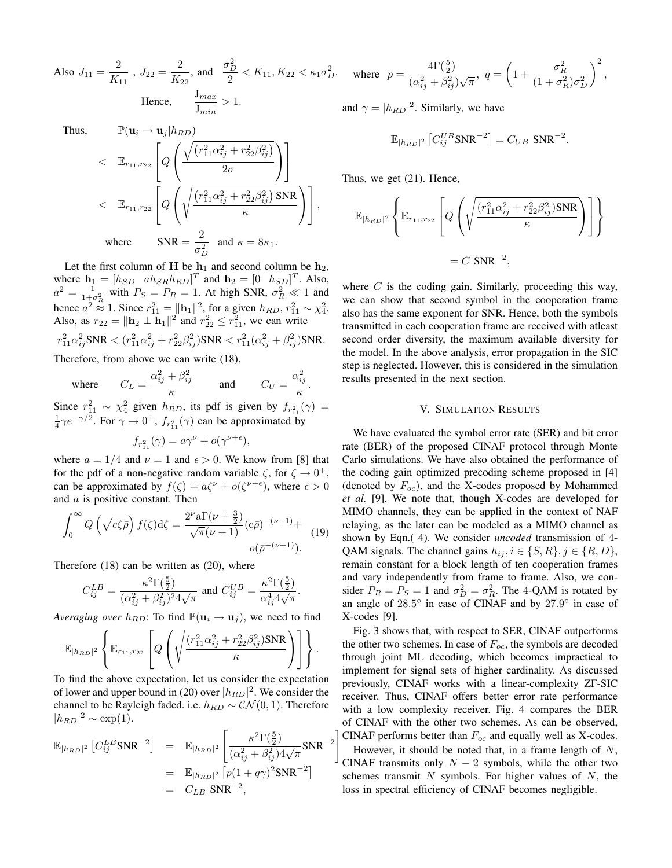Also 
$$
J_{11} = \frac{2}{K_{11}}
$$
,  $J_{22} = \frac{2}{K_{22}}$ , and  $\frac{\sigma_D^2}{2} < K_{11}$ ,  $K_{22} < \kappa_1 \sigma_D^2$ .  
\nHence,  $\frac{J_{max}}{J_{min}} > 1$ .

Thus.

$$
\mathbb{P}(\mathbf{u}_{i} \to \mathbf{u}_{j} | h_{RD})
$$
\n
$$
<\mathbb{E}_{r_{11},r_{22}} \left[ Q \left( \frac{\sqrt{(r_{11}^2 \alpha_{ij}^2 + r_{22}^2 \beta_{ij}^2)}}{2\sigma} \right) \right]
$$
\n
$$
<\mathbb{E}_{r_{11},r_{22}} \left[ Q \left( \sqrt{\frac{(r_{11}^2 \alpha_{ij}^2 + r_{22}^2 \beta_{ij}^2) \text{ SNR}}{\kappa}} \right) \right],
$$
\nwhere\n
$$
\text{SNR} = \frac{2}{\sigma_D^2} \text{ and } \kappa = 8\kappa_1.
$$

Let the first column of H be  $h_1$  and second column be  $h_2$ , where  $\mathbf{h}_1 = [h_{SD} \quad ah_{SR} h_{RD}]^T$  and  $\mathbf{h}_2 = [0 \quad h_{SD}]^T$ . Also,  $a^2 = \frac{1}{1+\sigma_R^2}$  with  $P_S = P_R = 1$ . At high SNR,  $\sigma_R^2 \ll 1$  and hence  $a^2 \approx 1$ . Since  $r_{11}^2 = ||\mathbf{h}_1||^2$ , for a given  $h_{RD}$ ,  $r_{11}^2 \sim \chi_4^2$ . Also, as  $r_{22} = ||\mathbf{h}_2 \perp \mathbf{h}_1||^2$  and  $r_{22}^2 \le r_{11}^2$ , we can write  $r^2_{11}\alpha^2_{ij}$ SNR  $<(r^2_{11}\alpha^2_{ij}+r^2_{22}\beta^2_{ij})$ SNR  $< r^2_{11}(\alpha^2_{ij}+\beta^2_{ij})$ SNR.

Therefore, from above we can write (18),

where 
$$
C_L = \frac{\alpha_{ij}^2 + \beta_{ij}^2}{\kappa}
$$
 and  $C_U = \frac{\alpha_{ij}^2}{\kappa}$ .

Since  $r_{11}^2 \sim \chi_4^2$  given  $h_{RD}$ , its pdf is given by  $f_{r_{11}^2}(\gamma) =$  $\frac{1}{4}\gamma e^{-\gamma/2}$ . For  $\gamma \to 0^+$ ,  $f_{r_{11}}(\gamma)$  can be approximated by

$$
f_{r_{11}^2}(\gamma) = a\gamma^{\nu} + o(\gamma^{\nu+\epsilon}),
$$

where  $a = 1/4$  and  $\nu = 1$  and  $\epsilon > 0$ . We know from [8] that for the pdf of a non-negative random variable  $\zeta$ , for  $\zeta \to 0^+,$ can be approximated by  $f(\zeta) = a\zeta^{\nu} + o(\zeta^{\nu+\epsilon})$ , where  $\epsilon > 0$ and  $a$  is positive constant. Then

$$
\int_0^\infty Q\left(\sqrt{c\zeta\bar{\rho}}\right) f(\zeta) d\zeta = \frac{2^{\nu} a \Gamma(\nu + \frac{3}{2})}{\sqrt{\pi}(\nu + 1)} (c\bar{\rho})^{-(\nu+1)} +
$$
\n
$$
o(\bar{\rho}^{-(\nu+1)}).
$$
\n(19)

Therefore (18) can be written as (20), where

$$
C^{LB}_{ij}=\frac{\kappa^2\Gamma(\frac{5}{2})}{(\alpha_{ij}^2+\beta_{ij}^2)^24\sqrt{\pi}}\text{ and }C^{UB}_{ij}=\frac{\kappa^2\Gamma(\frac{5}{2})}{\alpha_{ij}^44\sqrt{\pi}}.
$$

*Averaging over*  $h_{RD}$ : To find  $\mathbb{P}(\mathbf{u}_i \to \mathbf{u}_j)$ , we need to find

$$
\mathbb{E}_{|h_{RD}|^2} \left\{ \mathbb{E}_{r_{11},r_{22}} \left[ Q \left( \sqrt{\frac{(r_{11}^2 \alpha_{ij}^2 + r_{22}^2 \beta_{ij}^2) \text{SNR}}{\kappa}} \right) \right] \right\}.
$$

To find the above expectation, let us consider the expectation of lower and upper bound in (20) over  $|h_{RD}|^2$ . We consider the channel to be Rayleigh faded. i.e.  $h_{RD} \sim \mathcal{CN}(0, 1)$ . Therefore  $|h_{RD}|^2 \sim \exp(1)$ .

$$
\mathbb{E}_{|h_{RD}|^2} \left[ C_{ij}^{LB} \text{SNR}^{-2} \right] = \mathbb{E}_{|h_{RD}|^2} \left[ \frac{\kappa^2 \Gamma(\frac{5}{2})}{(\alpha_{ij}^2 + \beta_{ij}^2) 4\sqrt{\pi}} \text{SNR}^{-2} \right]
$$

$$
= \mathbb{E}_{|h_{RD}|^2} \left[ p(1 + q\gamma)^2 \text{SNR}^{-2} \right]
$$

$$
= C_{LB} \text{SNR}^{-2},
$$

where 
$$
p = \frac{4\Gamma(\frac{5}{2})}{(\alpha_{ij}^2 + \beta_{ij}^2)\sqrt{\pi}}, q = \left(1 + \frac{\sigma_R^2}{(1 + \sigma_R^2)\sigma_D^2}\right)^2
$$
,

and  $\gamma = |h_{RD}|^2$ . Similarly, we have

$$
\mathbb{E}_{|h_{RD}|^2} \left[ C_{ij}^{UB} \text{SNR}^{-2} \right] = C_{UB} \text{ SNR}^{-2}.
$$

Thus, we get (21). Hence,

$$
\mathbb{E}_{|h_{RD}|^2} \left\{ \mathbb{E}_{r_{11},r_{22}} \left[ Q \left( \sqrt{\frac{(r_{11}^2 \alpha_{ij}^2 + r_{22}^2 \beta_{ij}^2) \text{SNR}}{\kappa}} \right) \right] \right\}
$$
  
= C SNR<sup>-2</sup>,

where  $C$  is the coding gain. Similarly, proceeding this way, we can show that second symbol in the cooperation frame also has the same exponent for SNR. Hence, both the symbols transmitted in each cooperation frame are received with atleast second order diversity, the maximum available diversity for the model. In the above analysis, error propagation in the SIC step is neglected. However, this is considered in the simulation results presented in the next section.

# V. SIMULATION RESULTS

We have evaluated the symbol error rate (SER) and bit error rate (BER) of the proposed CINAF protocol through Monte Carlo simulations. We have also obtained the performance of the coding gain optimized precoding scheme proposed in [4] (denoted by  $F_{oc}$ ), and the X-codes proposed by Mohammed *et al.* [9]. We note that, though X-codes are developed for MIMO channels, they can be applied in the context of NAF relaying, as the later can be modeled as a MIMO channel as shown by Eqn.( 4). We consider *uncoded* transmission of 4- QAM signals. The channel gains  $h_{ij}$ ,  $i \in \{S, R\}$ ,  $j \in \{R, D\}$ , remain constant for a block length of ten cooperation frames and vary independently from frame to frame. Also, we consider  $P_R = P_S = 1$  and  $\sigma_D^2 = \sigma_R^2$ . The 4-QAM is rotated by an angle of  $28.5^\circ$  in case of CINAF and by  $27.9^\circ$  in case of X-codes [9].

CINAF performs better than  $F_{oc}$  and equally well as X-codes. Fig. 3 shows that, with respect to SER, CINAF outperforms the other two schemes. In case of  $F_{oc}$ , the symbols are decoded through joint ML decoding, which becomes impractical to implement for signal sets of higher cardinality. As discussed previously, CINAF works with a linear-complexity ZF-SIC receiver. Thus, CINAF offers better error rate performance with a low complexity receiver. Fig. 4 compares the BER of CINAF with the other two schemes. As can be observed,

However, it should be noted that, in a frame length of  $N$ , CINAF transmits only  $N-2$  symbols, while the other two schemes transmit  $N$  symbols. For higher values of  $N$ , the loss in spectral efficiency of CINAF becomes negligible.